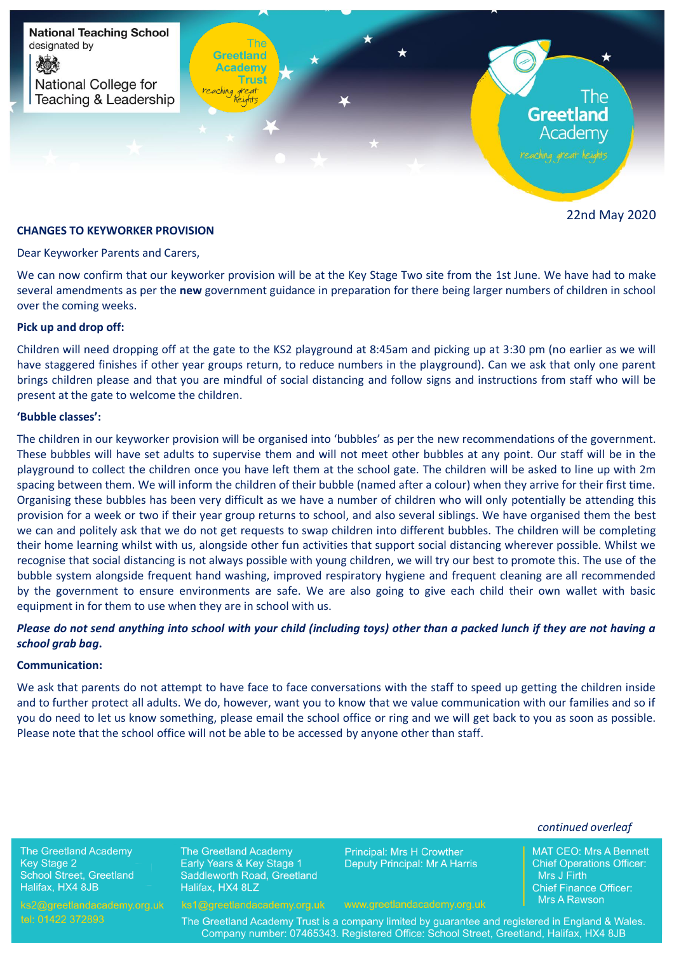

22nd May 2020

## **CHANGES TO KEYWORKER PROVISION**

Dear Keyworker Parents and Carers,

We can now confirm that our keyworker provision will be at the Key Stage Two site from the 1st June. We have had to make several amendments as per the **new** government guidance in preparation for there being larger numbers of children in school over the coming weeks.

#### **Pick up and drop off:**

Children will need dropping off at the gate to the KS2 playground at 8:45am and picking up at 3:30 pm (no earlier as we will have staggered finishes if other year groups return, to reduce numbers in the playground). Can we ask that only one parent brings children please and that you are mindful of social distancing and follow signs and instructions from staff who will be present at the gate to welcome the children.

## **'Bubble classes':**

The children in our keyworker provision will be organised into 'bubbles' as per the new recommendations of the government. These bubbles will have set adults to supervise them and will not meet other bubbles at any point. Our staff will be in the playground to collect the children once you have left them at the school gate. The children will be asked to line up with 2m spacing between them. We will inform the children of their bubble (named after a colour) when they arrive for their first time. Organising these bubbles has been very difficult as we have a number of children who will only potentially be attending this provision for a week or two if their year group returns to school, and also several siblings. We have organised them the best we can and politely ask that we do not get requests to swap children into different bubbles. The children will be completing their home learning whilst with us, alongside other fun activities that support social distancing wherever possible. Whilst we recognise that social distancing is not always possible with young children, we will try our best to promote this. The use of the bubble system alongside frequent hand washing, improved respiratory hygiene and frequent cleaning are all recommended by the government to ensure environments are safe. We are also going to give each child their own wallet with basic equipment in for them to use when they are in school with us.

# *Please do not send anything into school with your child (including toys) other than a packed lunch if they are not having a school grab bag***.**

#### **Communication:**

We ask that parents do not attempt to have face to face conversations with the staff to speed up getting the children inside and to further protect all adults. We do, however, want you to know that we value communication with our families and so if you do need to let us know something, please email the school office or ring and we will get back to you as soon as possible. Please note that the school office will not be able to be accessed by anyone other than staff.

*continued overleaf*

**MAT CEO: Mrs A Bennett** 

**Chief Operations Officer:** 

**Chief Finance Officer:** Mrs A Rawson

Mrs J Firth

**The Greetland Academy Key Stage 2** School Street, Greetland Halifax, HX4 8JB

The Greetland Academy Early Years & Key Stage 1 Saddleworth Road, Greetland Halifax, HX4 8LZ

**Principal: Mrs H Crowther Deputy Principal: Mr A Harris** 

The Greetland Academy Trust is a company limited by guarantee and registered in England & Wales. Company number: 07465343. Registered Office: School Street, Greetland, Halifax, HX4 8JB